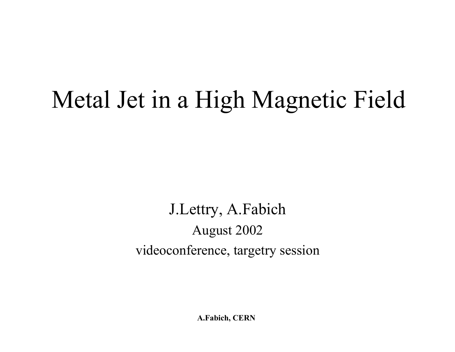## Metal Jet in a High Magnetic Field

J.Lettry, A.Fabich August 2002 videoconference, targetry session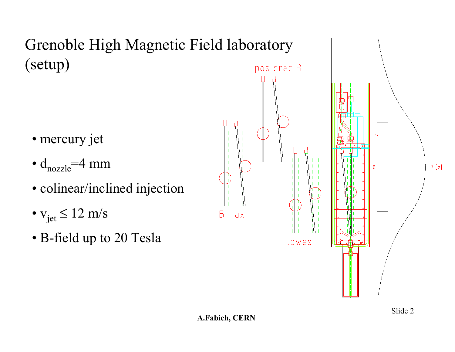Grenoble High Magnetic Field laboratory (setup)

- mercury jet
- $\bullet$  d<sub>nozzle</sub>=4 mm
- colinear/inclined injection
- $v_{jet} \le 12$  m/s
- B-field up to 20 Tesla

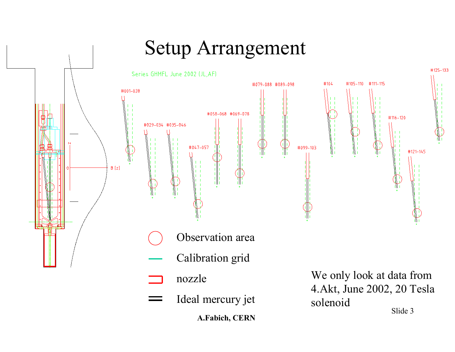### Setup Arrangement

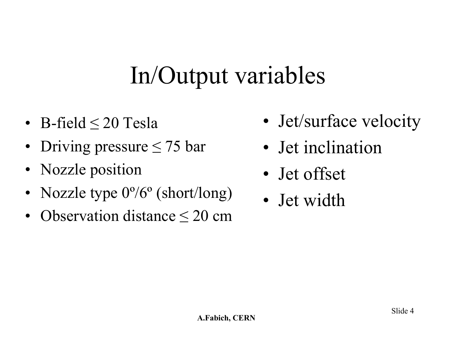# In/Output variables

- B-field ≤ 20 Tesla
- Driving pressure ≤ 75 bar
- Nozzle position
- Nozzle type  $0^{\circ}/6^{\circ}$  (short/long)
- •Observation distance ≤ 20 cm
- Jet/surface velocity
- Jet inclination
- Jet offset
- Jet width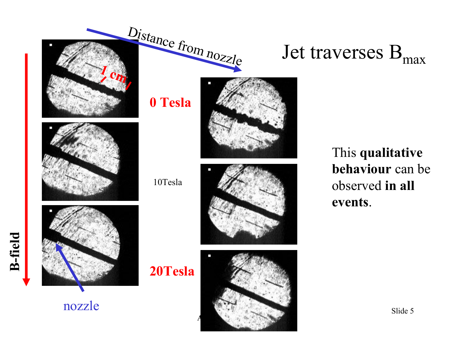

nozzle







This **qualitative behaviour** can be observed **in all events**.

Jet traverses  $\mathrm{B_{max}}$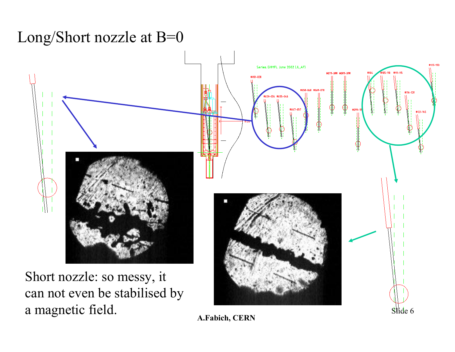#### Long/Short nozzle at B=0

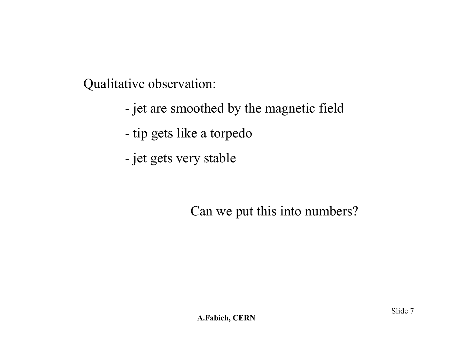Qualitative observation:

- jet are smoothed by the magnetic field
- tip gets like a torpedo
- jet gets very stable

Can we put this into numbers?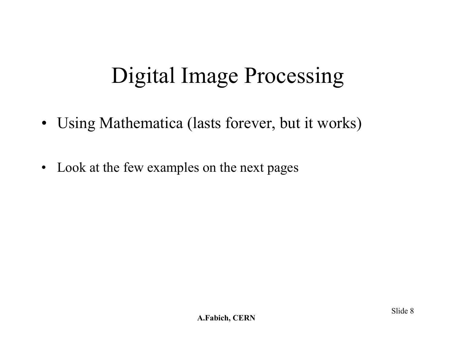### Digital Image Processing

- Using Mathematica (lasts forever, but it works)
- Look at the few examples on the next pages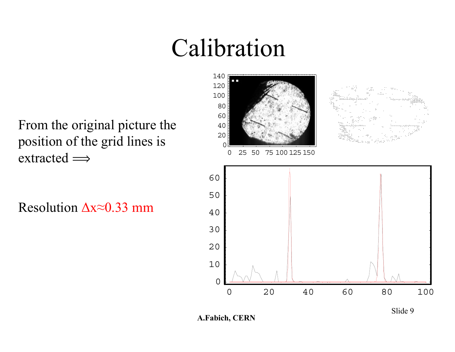## Calibration

From the original picture the position of the grid lines is extracted  $\Longrightarrow$ 

Resolution ∆x<sup>≈</sup>0.33 mm

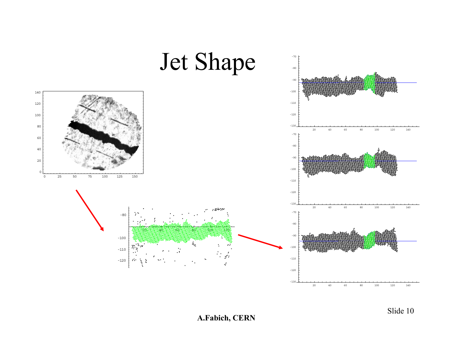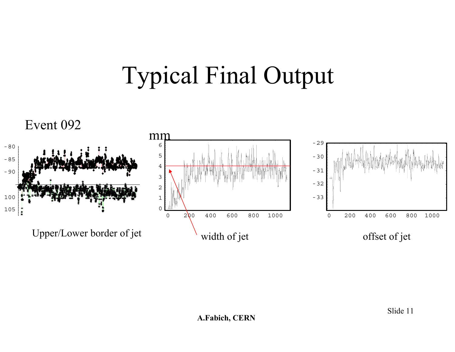# Typical Final Output

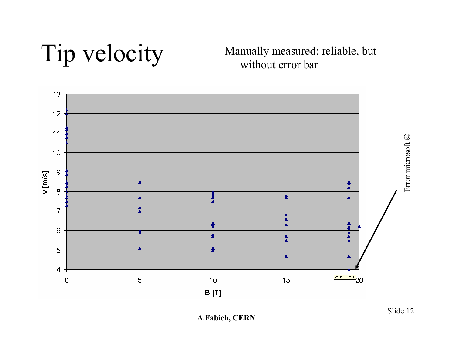Tip velocity Manually measured: reliable, but without error bar